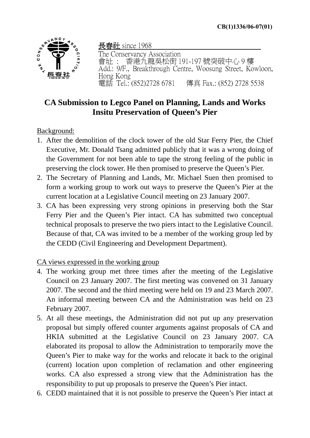

長春社 since 1968 The Conservancy Association 會址 : 香港九龍吳松街 191-197 號突破中心 9 樓 Add.: 9/F., Breakthrough Centre, Woosung Street, Kowloon, Hong Kong 電話 Tel.: (852)2728 6781 傳真 Fax.: (852) 2728 5538

## **CA Submission to Legco Panel on Planning, Lands and Works Insitu Preservation of Queen's Pier**

## Background:

- 1. After the demolition of the clock tower of the old Star Ferry Pier, the Chief Executive, Mr. Donald Tsang admitted publicly that it was a wrong doing of the Government for not been able to tape the strong feeling of the public in preserving the clock tower. He then promised to preserve the Queen's Pier.
- 2. The Secretary of Planning and Lands, Mr. Michael Suen then promised to form a working group to work out ways to preserve the Queen's Pier at the current location at a Legislative Council meeting on 23 January 2007.
- 3. CA has been expressing very strong opinions in preserving both the Star Ferry Pier and the Queen's Pier intact. CA has submitted two conceptual technical proposals to preserve the two piers intact to the Legislative Council. Because of that, CA was invited to be a member of the working group led by the CEDD (Civil Engineering and Development Department).

## CA views expressed in the working group

- 4. The working group met three times after the meeting of the Legislative Council on 23 January 2007. The first meeting was convened on 31 January 2007. The second and the third meeting were held on 19 and 23 March 2007. An informal meeting between CA and the Administration was held on 23 February 2007.
- 5. At all these meetings, the Administration did not put up any preservation proposal but simply offered counter arguments against proposals of CA and HKIA submitted at the Legislative Council on 23 January 2007. CA elaborated its proposal to allow the Administration to temporarily move the Queen's Pier to make way for the works and relocate it back to the original (current) location upon completion of reclamation and other engineering works. CA also expressed a strong view that the Administration has the responsibility to put up proposals to preserve the Queen's Pier intact.
- 6. CEDD maintained that it is not possible to preserve the Queen's Pier intact at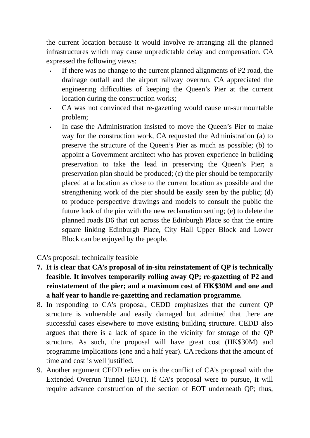the current location because it would involve re-arranging all the planned infrastructures which may cause unpredictable delay and compensation. CA expressed the following views:

- If there was no change to the current planned alignments of P2 road, the drainage outfall and the airport railway overrun, CA appreciated the engineering difficulties of keeping the Queen's Pier at the current location during the construction works;
- CA was not convinced that re-gazetting would cause un-surmountable problem;
- In case the Administration insisted to move the Queen's Pier to make way for the construction work, CA requested the Administration (a) to preserve the structure of the Queen's Pier as much as possible; (b) to appoint a Government architect who has proven experience in building preservation to take the lead in preserving the Queen's Pier; a preservation plan should be produced; (c) the pier should be temporarily placed at a location as close to the current location as possible and the strengthening work of the pier should be easily seen by the public; (d) to produce perspective drawings and models to consult the public the future look of the pier with the new reclamation setting; (e) to delete the planned roads D6 that cut across the Edinburgh Place so that the entire square linking Edinburgh Place, City Hall Upper Block and Lower Block can be enjoyed by the people.

CA's proposal: technically feasible

- **7. It is clear that CA's proposal of in-situ reinstatement of QP is technically feasible. It involves temporarily rolling away QP; re-gazetting of P2 and reinstatement of the pier; and a maximum cost of HK\$30M and one and a half year to handle re-gazetting and reclamation programme.**
- 8. In responding to CA's proposal, CEDD emphasizes that the current QP structure is vulnerable and easily damaged but admitted that there are successful cases elsewhere to move existing building structure. CEDD also argues that there is a lack of space in the vicinity for storage of the QP structure. As such, the proposal will have great cost (HK\$30M) and programme implications (one and a half year). CA reckons that the amount of time and cost is well justified.
- 9. Another argument CEDD relies on is the conflict of CA's proposal with the Extended Overrun Tunnel (EOT). If CA's proposal were to pursue, it will require advance construction of the section of EOT underneath QP; thus,